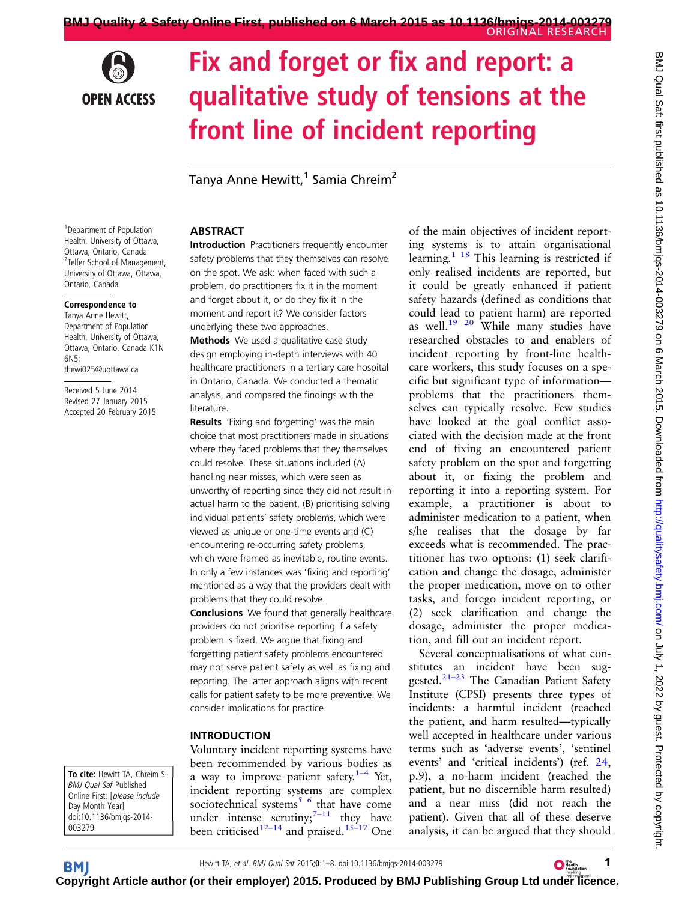# **OPEN ACCESS**

# Fix and forget or fix and report: a qualitative study of tensions at the front line of incident reporting

Tanya Anne Hewitt,<sup>1</sup> Samia Chreim<sup>2</sup>

# ABSTRACT

Introduction Practitioners frequently encounter safety problems that they themselves can resolve on the spot. We ask: when faced with such a problem, do practitioners fix it in the moment and forget about it, or do they fix it in the moment and report it? We consider factors underlying these two approaches.

Methods We used a qualitative case study design employing in-depth interviews with 40 healthcare practitioners in a tertiary care hospital in Ontario, Canada. We conducted a thematic analysis, and compared the findings with the literature.

Results 'Fixing and forgetting' was the main choice that most practitioners made in situations where they faced problems that they themselves could resolve. These situations included (A) handling near misses, which were seen as unworthy of reporting since they did not result in actual harm to the patient, (B) prioritising solving individual patients' safety problems, which were viewed as unique or one-time events and (C) encountering re-occurring safety problems, which were framed as inevitable, routine events. In only a few instances was 'fixing and reporting' mentioned as a way that the providers dealt with problems that they could resolve.

**Conclusions** We found that generally healthcare providers do not prioritise reporting if a safety problem is fixed. We argue that fixing and forgetting patient safety problems encountered may not serve patient safety as well as fixing and reporting. The latter approach aligns with recent calls for patient safety to be more preventive. We consider implications for practice.

# **INTRODUCTION**

Voluntary incident reporting systems have been recommended by various bodies as a way to improve patient safety.<sup>[1](#page-5-0)–4</sup> Yet, incident reporting systems are complex sociotechnical systems<sup>5 6</sup> that have come under intense scrutiny; $7-11$  $7-11$  they have been criticised<sup>[12](#page-6-0)–14</sup> and praised.<sup>15–[17](#page-6-0)</sup> One

of the main objectives of incident reporting systems is to attain organisational learning.<sup>[1](#page-5-0) [18](#page-6-0)</sup> This learning is restricted if only realised incidents are reported, but it could be greatly enhanced if patient safety hazards (defined as conditions that could lead to patient harm) are reported as well.<sup>[19 20](#page-6-0)</sup> While many studies have researched obstacles to and enablers of incident reporting by front-line healthcare workers, this study focuses on a specific but significant type of information problems that the practitioners themselves can typically resolve. Few studies have looked at the goal conflict associated with the decision made at the front end of fixing an encountered patient safety problem on the spot and forgetting about it, or fixing the problem and reporting it into a reporting system. For example, a practitioner is about to administer medication to a patient, when s/he realises that the dosage by far exceeds what is recommended. The practitioner has two options: (1) seek clarification and change the dosage, administer the proper medication, move on to other tasks, and forego incident reporting, or (2) seek clarification and change the dosage, administer the proper medication, and fill out an incident report.

ORIGINAL RESEARCH

Several conceptualisations of what constitutes an incident have been suggested.21–[23](#page-6-0) The Canadian Patient Safety Institute (CPSI) presents three types of incidents: a harmful incident (reached the patient, and harm resulted—typically well accepted in healthcare under various terms such as 'adverse events', 'sentinel events' and 'critical incidents') (ref. [24,](#page-6-0) p.9), a no-harm incident (reached the patient, but no discernible harm resulted) and a near miss (did not reach the patient). Given that all of these deserve analysis, it can be argued that they should

<sup>1</sup> Department of Population Health, University of Ottawa, Ottawa, Ontario, Canada <sup>2</sup>Telfer School of Management, University of Ottawa, Ottawa, Ontario, Canada

# Correspondence to

Tanya Anne Hewitt, Department of Population Health, University of Ottawa, Ottawa, Ontario, Canada K1N  $6N5$ thewi025@uottawa.ca

Received 5 June 2014 Revised 27 January 2015 Accepted 20 February 2015

To cite: Hewitt TA, Chreim S. BMJ Qual Saf Published Online First: [please include Day Month Year] doi:10.1136/bmjqs-2014- 003279

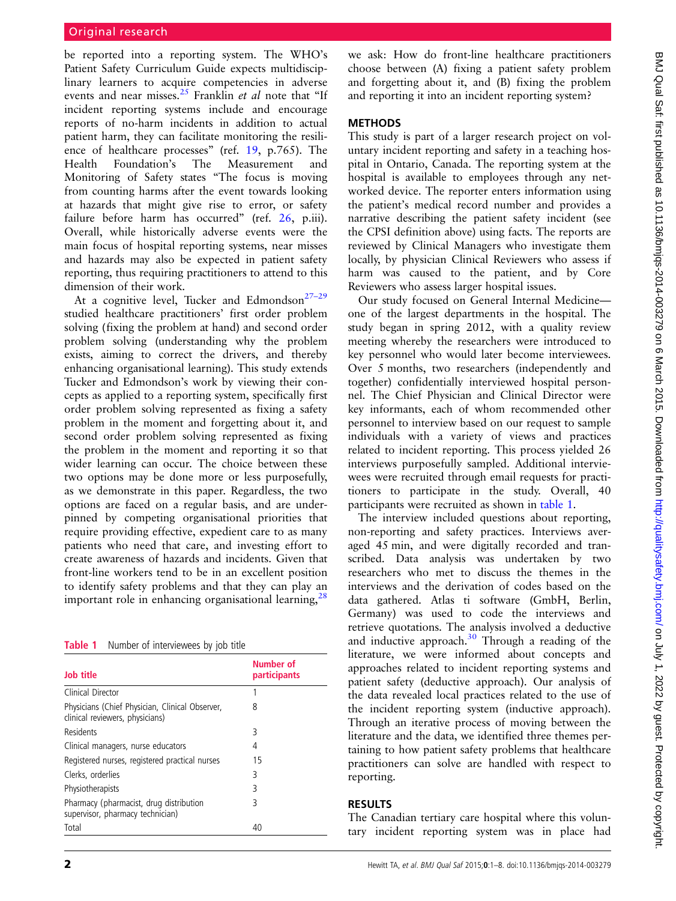be reported into a reporting system. The WHO's Patient Safety Curriculum Guide expects multidisciplinary learners to acquire competencies in adverse events and near misses.<sup>[25](#page-6-0)</sup> Franklin et al note that "If incident reporting systems include and encourage reports of no-harm incidents in addition to actual patient harm, they can facilitate monitoring the resilience of healthcare processes" (ref. [19,](#page-6-0) p.765). The Health Foundation's The Measurement and Monitoring of Safety states "The focus is moving from counting harms after the event towards looking at hazards that might give rise to error, or safety failure before harm has occurred" (ref. [26,](#page-6-0) p.iii). Overall, while historically adverse events were the main focus of hospital reporting systems, near misses and hazards may also be expected in patient safety reporting, thus requiring practitioners to attend to this dimension of their work.

At a cognitive level, Tucker and Edmondson<sup>[27](#page-6-0)-29</sup> studied healthcare practitioners' first order problem solving (fixing the problem at hand) and second order problem solving (understanding why the problem exists, aiming to correct the drivers, and thereby enhancing organisational learning). This study extends Tucker and Edmondson's work by viewing their concepts as applied to a reporting system, specifically first order problem solving represented as fixing a safety problem in the moment and forgetting about it, and second order problem solving represented as fixing the problem in the moment and reporting it so that wider learning can occur. The choice between these two options may be done more or less purposefully, as we demonstrate in this paper. Regardless, the two options are faced on a regular basis, and are underpinned by competing organisational priorities that require providing effective, expedient care to as many patients who need that care, and investing effort to create awareness of hazards and incidents. Given that front-line workers tend to be in an excellent position to identify safety problems and that they can play an important role in enhancing organisational learning,  $28$ 

**Table 1** Number of interviewees by job title

| <b>Job title</b>                                                                   | Number of<br>participants |
|------------------------------------------------------------------------------------|---------------------------|
| Clinical Director                                                                  | 1                         |
| Physicians (Chief Physician, Clinical Observer,<br>clinical reviewers, physicians) | 8                         |
| Residents                                                                          | 3                         |
| Clinical managers, nurse educators                                                 | 4                         |
| Registered nurses, registered practical nurses                                     | 15                        |
| Clerks, orderlies                                                                  | 3                         |
| Physiotherapists                                                                   | 3                         |
| Pharmacy (pharmacist, drug distribution<br>supervisor, pharmacy technician)        | 3                         |
| Total                                                                              | 40                        |

we ask: How do front-line healthcare practitioners choose between (A) fixing a patient safety problem and forgetting about it, and (B) fixing the problem and reporting it into an incident reporting system?

# METHODS

This study is part of a larger research project on voluntary incident reporting and safety in a teaching hospital in Ontario, Canada. The reporting system at the hospital is available to employees through any networked device. The reporter enters information using the patient's medical record number and provides a narrative describing the patient safety incident (see the CPSI definition above) using facts. The reports are reviewed by Clinical Managers who investigate them locally, by physician Clinical Reviewers who assess if harm was caused to the patient, and by Core Reviewers who assess larger hospital issues.

Our study focused on General Internal Medicine one of the largest departments in the hospital. The study began in spring 2012, with a quality review meeting whereby the researchers were introduced to key personnel who would later become interviewees. Over 5 months, two researchers (independently and together) confidentially interviewed hospital personnel. The Chief Physician and Clinical Director were key informants, each of whom recommended other personnel to interview based on our request to sample individuals with a variety of views and practices related to incident reporting. This process yielded 26 interviews purposefully sampled. Additional interviewees were recruited through email requests for practitioners to participate in the study. Overall, 40 participants were recruited as shown in table 1.

The interview included questions about reporting, non-reporting and safety practices. Interviews averaged 45 min, and were digitally recorded and transcribed. Data analysis was undertaken by two researchers who met to discuss the themes in the interviews and the derivation of codes based on the data gathered. Atlas ti software (GmbH, Berlin, Germany) was used to code the interviews and retrieve quotations. The analysis involved a deductive and inductive approach. $30$  Through a reading of the literature, we were informed about concepts and approaches related to incident reporting systems and patient safety (deductive approach). Our analysis of the data revealed local practices related to the use of the incident reporting system (inductive approach). Through an iterative process of moving between the literature and the data, we identified three themes pertaining to how patient safety problems that healthcare practitioners can solve are handled with respect to reporting.

# RESULTS

The Canadian tertiary care hospital where this voluntary incident reporting system was in place had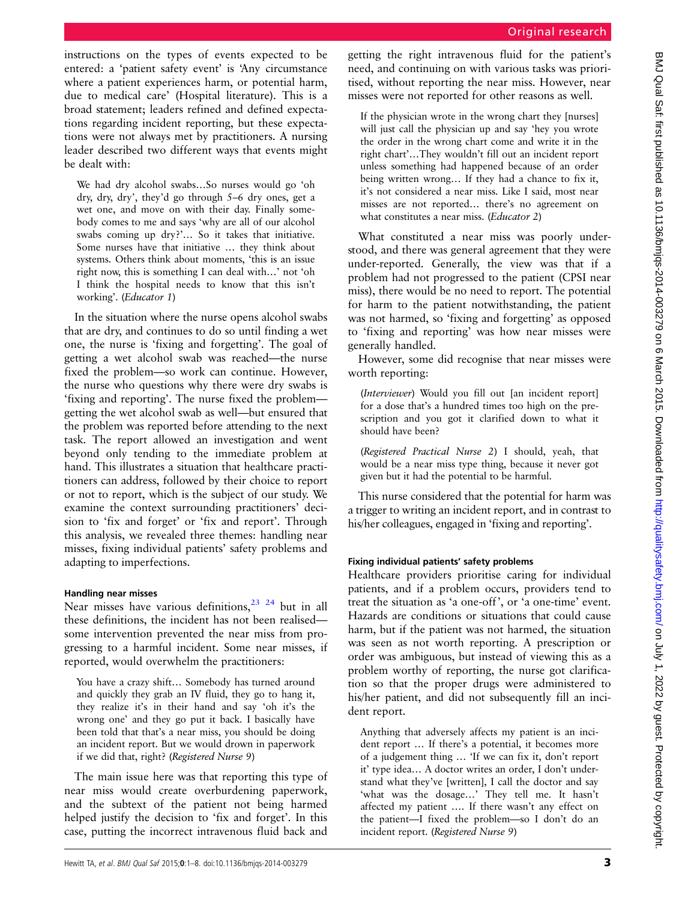instructions on the types of events expected to be entered: a 'patient safety event' is 'Any circumstance where a patient experiences harm, or potential harm, due to medical care' (Hospital literature). This is a broad statement; leaders refined and defined expectations regarding incident reporting, but these expectations were not always met by practitioners. A nursing leader described two different ways that events might be dealt with:

We had dry alcohol swabs…So nurses would go 'oh dry, dry, dry', they'd go through 5–6 dry ones, get a wet one, and move on with their day. Finally somebody comes to me and says 'why are all of our alcohol swabs coming up dry?'… So it takes that initiative. Some nurses have that initiative … they think about systems. Others think about moments, 'this is an issue right now, this is something I can deal with…' not 'oh I think the hospital needs to know that this isn't working'. (Educator 1)

In the situation where the nurse opens alcohol swabs that are dry, and continues to do so until finding a wet one, the nurse is 'fixing and forgetting'. The goal of getting a wet alcohol swab was reached—the nurse fixed the problem—so work can continue. However, the nurse who questions why there were dry swabs is 'fixing and reporting'. The nurse fixed the problem getting the wet alcohol swab as well—but ensured that the problem was reported before attending to the next task. The report allowed an investigation and went beyond only tending to the immediate problem at hand. This illustrates a situation that healthcare practitioners can address, followed by their choice to report or not to report, which is the subject of our study. We examine the context surrounding practitioners' decision to 'fix and forget' or 'fix and report'. Through this analysis, we revealed three themes: handling near misses, fixing individual patients' safety problems and adapting to imperfections.

# Handling near misses

Near misses have various definitions,  $23^{24}$  but in all these definitions, the incident has not been realised some intervention prevented the near miss from progressing to a harmful incident. Some near misses, if reported, would overwhelm the practitioners:

You have a crazy shift… Somebody has turned around and quickly they grab an IV fluid, they go to hang it, they realize it's in their hand and say 'oh it's the wrong one' and they go put it back. I basically have been told that that's a near miss, you should be doing an incident report. But we would drown in paperwork if we did that, right? (Registered Nurse 9)

The main issue here was that reporting this type of near miss would create overburdening paperwork, and the subtext of the patient not being harmed helped justify the decision to 'fix and forget'. In this case, putting the incorrect intravenous fluid back and

getting the right intravenous fluid for the patient's need, and continuing on with various tasks was prioritised, without reporting the near miss. However, near misses were not reported for other reasons as well.

If the physician wrote in the wrong chart they [nurses] will just call the physician up and say 'hey you wrote the order in the wrong chart come and write it in the right chart'…They wouldn't fill out an incident report unless something had happened because of an order being written wrong… If they had a chance to fix it, it's not considered a near miss. Like I said, most near misses are not reported… there's no agreement on what constitutes a near miss. (Educator 2)

What constituted a near miss was poorly understood, and there was general agreement that they were under-reported. Generally, the view was that if a problem had not progressed to the patient (CPSI near miss), there would be no need to report. The potential for harm to the patient notwithstanding, the patient was not harmed, so 'fixing and forgetting' as opposed to 'fixing and reporting' was how near misses were generally handled.

However, some did recognise that near misses were worth reporting:

(Interviewer) Would you fill out [an incident report] for a dose that's a hundred times too high on the prescription and you got it clarified down to what it should have been?

(Registered Practical Nurse 2) I should, yeah, that would be a near miss type thing, because it never got given but it had the potential to be harmful.

This nurse considered that the potential for harm was a trigger to writing an incident report, and in contrast to his/her colleagues, engaged in 'fixing and reporting'.

# Fixing individual patients' safety problems

Healthcare providers prioritise caring for individual patients, and if a problem occurs, providers tend to treat the situation as 'a one-off', or 'a one-time' event. Hazards are conditions or situations that could cause harm, but if the patient was not harmed, the situation was seen as not worth reporting. A prescription or order was ambiguous, but instead of viewing this as a problem worthy of reporting, the nurse got clarification so that the proper drugs were administered to his/her patient, and did not subsequently fill an incident report.

Anything that adversely affects my patient is an incident report … If there's a potential, it becomes more of a judgement thing … 'If we can fix it, don't report it' type idea… A doctor writes an order, I don't understand what they've [written], I call the doctor and say 'what was the dosage…' They tell me. It hasn't affected my patient …. If there wasn't any effect on the patient—I fixed the problem—so I don't do an incident report. (Registered Nurse 9)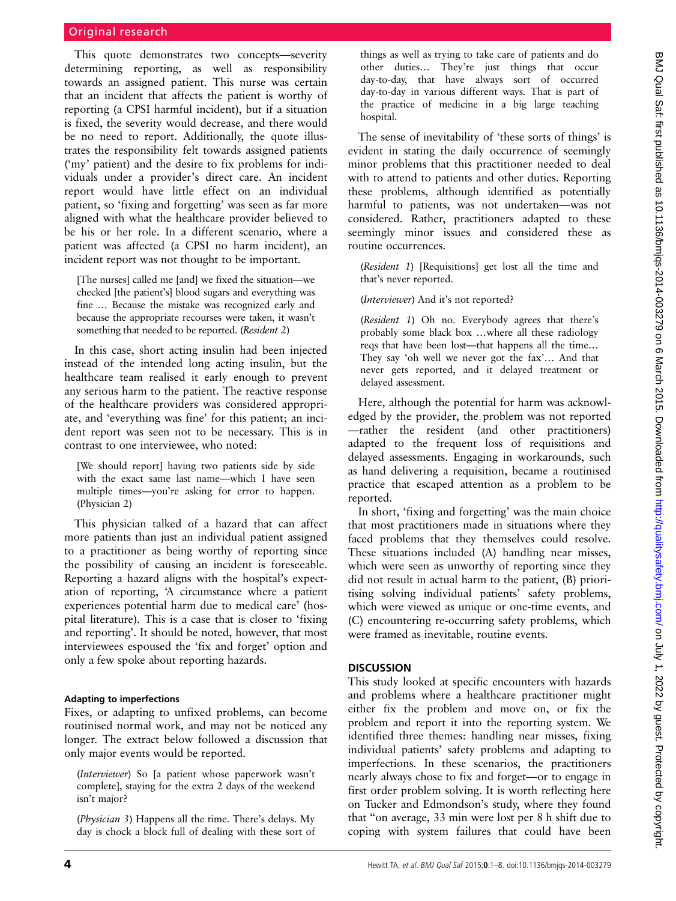# Original research

This quote demonstrates two concepts—severity determining reporting, as well as responsibility towards an assigned patient. This nurse was certain that an incident that affects the patient is worthy of reporting (a CPSI harmful incident), but if a situation is fixed, the severity would decrease, and there would be no need to report. Additionally, the quote illustrates the responsibility felt towards assigned patients ('my' patient) and the desire to fix problems for individuals under a provider's direct care. An incident report would have little effect on an individual patient, so 'fixing and forgetting' was seen as far more aligned with what the healthcare provider believed to be his or her role. In a different scenario, where a patient was affected (a CPSI no harm incident), an incident report was not thought to be important.

[The nurses] called me [and] we fixed the situation—we checked [the patient's] blood sugars and everything was fine … Because the mistake was recognized early and because the appropriate recourses were taken, it wasn't something that needed to be reported. (*Resident 2*)

In this case, short acting insulin had been injected instead of the intended long acting insulin, but the healthcare team realised it early enough to prevent any serious harm to the patient. The reactive response of the healthcare providers was considered appropriate, and 'everything was fine' for this patient; an incident report was seen not to be necessary. This is in contrast to one interviewee, who noted:

[We should report] having two patients side by side with the exact same last name—which I have seen multiple times—you're asking for error to happen. (Physician 2)

This physician talked of a hazard that can affect more patients than just an individual patient assigned to a practitioner as being worthy of reporting since the possibility of causing an incident is foreseeable. Reporting a hazard aligns with the hospital's expectation of reporting, 'A circumstance where a patient experiences potential harm due to medical care' (hospital literature). This is a case that is closer to 'fixing and reporting'. It should be noted, however, that most interviewees espoused the 'fix and forget' option and only a few spoke about reporting hazards.

#### Adapting to imperfections

Fixes, or adapting to unfixed problems, can become routinised normal work, and may not be noticed any longer. The extract below followed a discussion that only major events would be reported.

(Interviewer) So [a patient whose paperwork wasn't complete], staying for the extra 2 days of the weekend isn't major?

(Physician 3) Happens all the time. There's delays. My day is chock a block full of dealing with these sort of things as well as trying to take care of patients and do other duties… They're just things that occur day-to-day, that have always sort of occurred day-to-day in various different ways. That is part of the practice of medicine in a big large teaching hospital.

The sense of inevitability of 'these sorts of things' is evident in stating the daily occurrence of seemingly minor problems that this practitioner needed to deal with to attend to patients and other duties. Reporting these problems, although identified as potentially harmful to patients, was not undertaken—was not considered. Rather, practitioners adapted to these seemingly minor issues and considered these as routine occurrences.

(Resident 1) [Requisitions] get lost all the time and that's never reported.

(Interviewer) And it's not reported?

(Resident 1) Oh no. Everybody agrees that there's probably some black box …where all these radiology reqs that have been lost—that happens all the time… They say 'oh well we never got the fax'… And that never gets reported, and it delayed treatment or delayed assessment.

Here, although the potential for harm was acknowledged by the provider, the problem was not reported —rather the resident (and other practitioners) adapted to the frequent loss of requisitions and delayed assessments. Engaging in workarounds, such as hand delivering a requisition, became a routinised practice that escaped attention as a problem to be reported.

In short, 'fixing and forgetting' was the main choice that most practitioners made in situations where they faced problems that they themselves could resolve. These situations included (A) handling near misses, which were seen as unworthy of reporting since they did not result in actual harm to the patient, (B) prioritising solving individual patients' safety problems, which were viewed as unique or one-time events, and (C) encountering re-occurring safety problems, which were framed as inevitable, routine events.

#### **DISCUSSION**

This study looked at specific encounters with hazards and problems where a healthcare practitioner might either fix the problem and move on, or fix the problem and report it into the reporting system. We identified three themes: handling near misses, fixing individual patients' safety problems and adapting to imperfections. In these scenarios, the practitioners nearly always chose to fix and forget—or to engage in first order problem solving. It is worth reflecting here on Tucker and Edmondson's study, where they found that "on average, 33 min were lost per 8 h shift due to coping with system failures that could have been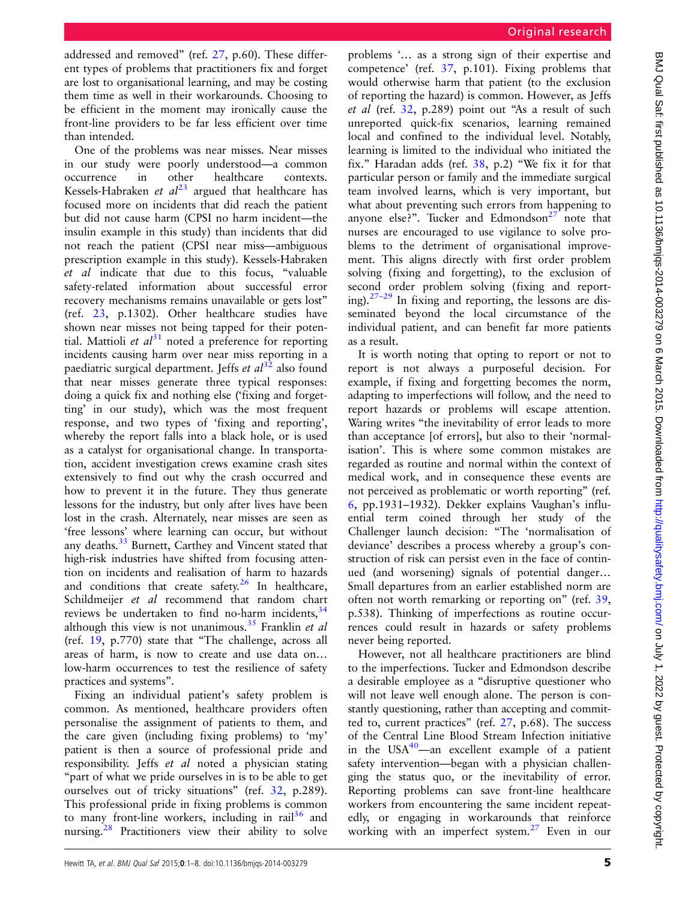addressed and removed" (ref. [27](#page-6-0), p.60). These different types of problems that practitioners fix and forget are lost to organisational learning, and may be costing them time as well in their workarounds. Choosing to be efficient in the moment may ironically cause the front-line providers to be far less efficient over time than intended.

One of the problems was near misses. Near misses in our study were poorly understood—a common occurrence in other healthcare contexts. Kessels-Habraken et  $al^{23}$  $al^{23}$  $al^{23}$  argued that healthcare has focused more on incidents that did reach the patient but did not cause harm (CPSI no harm incident—the insulin example in this study) than incidents that did not reach the patient (CPSI near miss—ambiguous prescription example in this study). Kessels-Habraken et al indicate that due to this focus, "valuable safety-related information about successful error recovery mechanisms remains unavailable or gets lost" (ref. [23,](#page-6-0) p.1302). Other healthcare studies have shown near misses not being tapped for their potential. Mattioli *et al*<sup>[31](#page-6-0)</sup> noted a preference for reporting incidents causing harm over near miss reporting in a paediatric surgical department. Jeffs *et al* $^{32}$  $^{32}$  $^{32}$  also found that near misses generate three typical responses: doing a quick fix and nothing else ('fixing and forgetting' in our study), which was the most frequent response, and two types of 'fixing and reporting', whereby the report falls into a black hole, or is used as a catalyst for organisational change. In transportation, accident investigation crews examine crash sites extensively to find out why the crash occurred and how to prevent it in the future. They thus generate lessons for the industry, but only after lives have been lost in the crash. Alternately, near misses are seen as 'free lessons' where learning can occur, but without any deaths.<sup>[33](#page-6-0)</sup> Burnett, Carthey and Vincent stated that high-risk industries have shifted from focusing attention on incidents and realisation of harm to hazards and conditions that create safety. $26$  In healthcare, Schildmeijer et al recommend that random chart reviews be undertaken to find no-harm incidents,  $34$ although this view is not unanimous.<sup>[35](#page-6-0)</sup> Franklin et al (ref. [19,](#page-6-0) p.770) state that "The challenge, across all areas of harm, is now to create and use data on… low-harm occurrences to test the resilience of safety practices and systems".

Fixing an individual patient's safety problem is common. As mentioned, healthcare providers often personalise the assignment of patients to them, and the care given (including fixing problems) to 'my' patient is then a source of professional pride and responsibility. Jeffs et al noted a physician stating "part of what we pride ourselves in is to be able to get ourselves out of tricky situations" (ref. [32,](#page-6-0) p.289). This professional pride in fixing problems is common to many front-line workers, including in rail $36$  and nursing.<sup>[28](#page-6-0)</sup> Practitioners view their ability to solve

problems '… as a strong sign of their expertise and competence' (ref. [37,](#page-6-0) p.101). Fixing problems that would otherwise harm that patient (to the exclusion of reporting the hazard) is common. However, as Jeffs et al (ref. [32](#page-6-0), p.289) point out "As a result of such unreported quick-fix scenarios, learning remained local and confined to the individual level. Notably, learning is limited to the individual who initiated the fix." Haradan adds (ref. [38,](#page-6-0) p.2) "We fix it for that particular person or family and the immediate surgical team involved learns, which is very important, but what about preventing such errors from happening to anyone else?". Tucker and Edmondson $27$  note that nurses are encouraged to use vigilance to solve problems to the detriment of organisational improvement. This aligns directly with first order problem solving (fixing and forgetting), to the exclusion of second order problem solving (fixing and reporting). $27-29$  $27-29$  In fixing and reporting, the lessons are disseminated beyond the local circumstance of the individual patient, and can benefit far more patients as a result.

It is worth noting that opting to report or not to report is not always a purposeful decision. For example, if fixing and forgetting becomes the norm, adapting to imperfections will follow, and the need to report hazards or problems will escape attention. Waring writes "the inevitability of error leads to more than acceptance [of errors], but also to their 'normalisation'. This is where some common mistakes are regarded as routine and normal within the context of medical work, and in consequence these events are not perceived as problematic or worth reporting" (ref. [6](#page-6-0), pp.1931–1932). Dekker explains Vaughan's influential term coined through her study of the Challenger launch decision: "The 'normalisation of deviance' describes a process whereby a group's construction of risk can persist even in the face of continued (and worsening) signals of potential danger… Small departures from an earlier established norm are often not worth remarking or reporting on" (ref. [39,](#page-7-0) p.538). Thinking of imperfections as routine occurrences could result in hazards or safety problems never being reported.

However, not all healthcare practitioners are blind to the imperfections. Tucker and Edmondson describe a desirable employee as a "disruptive questioner who will not leave well enough alone. The person is constantly questioning, rather than accepting and committed to, current practices" (ref. [27,](#page-6-0) p.68). The success of the Central Line Blood Stream Infection initiative in the  $USA^{40}$  $USA^{40}$  $USA^{40}$ —an excellent example of a patient safety intervention—began with a physician challenging the status quo, or the inevitability of error. Reporting problems can save front-line healthcare workers from encountering the same incident repeatedly, or engaging in workarounds that reinforce working with an imperfect system.<sup>[27](#page-6-0)</sup> Even in our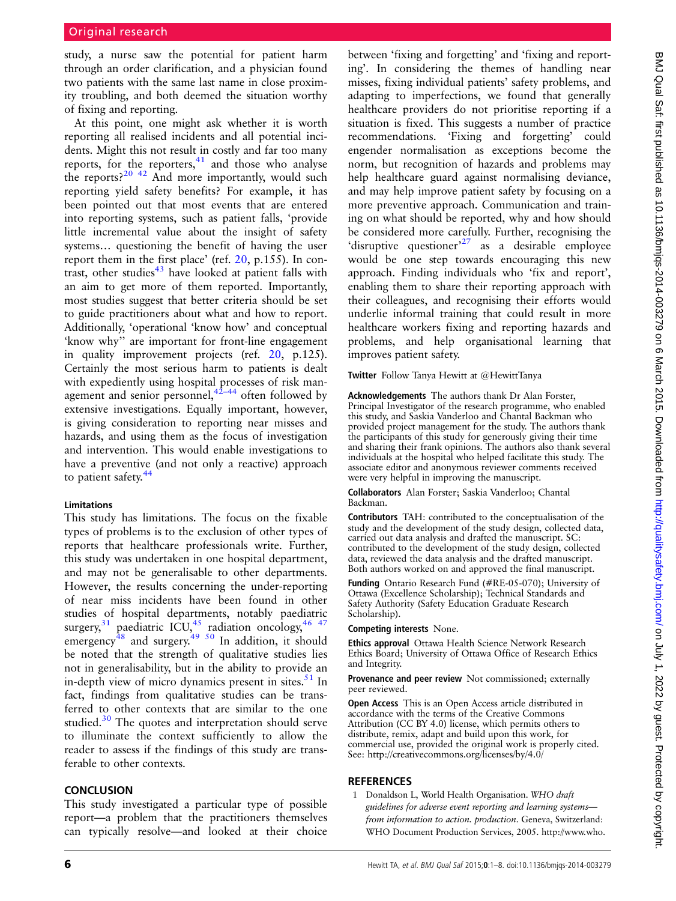<span id="page-5-0"></span>study, a nurse saw the potential for patient harm through an order clarification, and a physician found two patients with the same last name in close proximity troubling, and both deemed the situation worthy of fixing and reporting.

At this point, one might ask whether it is worth reporting all realised incidents and all potential incidents. Might this not result in costly and far too many reports, for the reporters, $41$  and those who analyse the reports? $20$ <sup>42</sup> And more importantly, would such reporting yield safety benefits? For example, it has been pointed out that most events that are entered into reporting systems, such as patient falls, 'provide little incremental value about the insight of safety systems… questioning the benefit of having the user report them in the first place' (ref. [20,](#page-6-0) p.155). In con-trast, other studies<sup>[43](#page-7-0)</sup> have looked at patient falls with an aim to get more of them reported. Importantly, most studies suggest that better criteria should be set to guide practitioners about what and how to report. Additionally, 'operational 'know how' and conceptual 'know why'' are important for front-line engagement in quality improvement projects (ref. [20,](#page-6-0) p.125). Certainly the most serious harm to patients is dealt with expediently using hospital processes of risk management and senior personnel, $42-44$  $42-44$  often followed by extensive investigations. Equally important, however, is giving consideration to reporting near misses and hazards, and using them as the focus of investigation and intervention. This would enable investigations to have a preventive (and not only a reactive) approach to patient safety.<sup>[44](#page-7-0)</sup>

# Limitations

This study has limitations. The focus on the fixable types of problems is to the exclusion of other types of reports that healthcare professionals write. Further, this study was undertaken in one hospital department, and may not be generalisable to other departments. However, the results concerning the under-reporting of near miss incidents have been found in other studies of hospital departments, notably paediatric surgery,<sup>[31](#page-6-0)</sup> paediatric ICU,<sup>[45](#page-7-0)</sup> radiation oncology,<sup>[46 47](#page-7-0)</sup> emergency $48$  and surgery.<sup>[49 50](#page-7-0)</sup> In addition, it should be noted that the strength of qualitative studies lies not in generalisability, but in the ability to provide an in-depth view of micro dynamics present in sites.<sup>[51](#page-7-0)</sup> In fact, findings from qualitative studies can be transferred to other contexts that are similar to the one studied.<sup>[30](#page-6-0)</sup> The quotes and interpretation should serve to illuminate the context sufficiently to allow the reader to assess if the findings of this study are transferable to other contexts.

# **CONCLUSION**

This study investigated a particular type of possible report—a problem that the practitioners themselves can typically resolve—and looked at their choice

between 'fixing and forgetting' and 'fixing and reporting'. In considering the themes of handling near misses, fixing individual patients' safety problems, and adapting to imperfections, we found that generally healthcare providers do not prioritise reporting if a situation is fixed. This suggests a number of practice recommendations. 'Fixing and forgetting' could engender normalisation as exceptions become the norm, but recognition of hazards and problems may help healthcare guard against normalising deviance, and may help improve patient safety by focusing on a more preventive approach. Communication and training on what should be reported, why and how should be considered more carefully. Further, recognising the 'disruptive questioner'<sup>[27](#page-6-0)</sup> as a desirable employee would be one step towards encouraging this new approach. Finding individuals who 'fix and report', enabling them to share their reporting approach with their colleagues, and recognising their efforts would underlie informal training that could result in more healthcare workers fixing and reporting hazards and problems, and help organisational learning that improves patient safety.

Twitter Follow Tanya Hewitt at [@HewittTanya](http://twitter.com/HewittTanya)

Acknowledgements The authors thank Dr Alan Forster, Principal Investigator of the research programme, who enabled this study, and Saskia Vanderloo and Chantal Backman who provided project management for the study. The authors thank the participants of this study for generously giving their time and sharing their frank opinions. The authors also thank several individuals at the hospital who helped facilitate this study. The associate editor and anonymous reviewer comments received were very helpful in improving the manuscript.

Collaborators Alan Forster; Saskia Vanderloo; Chantal Backman.

Contributors TAH: contributed to the conceptualisation of the study and the development of the study design, collected data, carried out data analysis and drafted the manuscript. SC: contributed to the development of the study design, collected data, reviewed the data analysis and the drafted manuscript. Both authors worked on and approved the final manuscript.

Funding Ontario Research Fund (#RE-05-070); University of Ottawa (Excellence Scholarship); Technical Standards and Safety Authority (Safety Education Graduate Research Scholarship).

Competing interests None.

Ethics approval Ottawa Health Science Network Research Ethics Board; University of Ottawa Office of Research Ethics and Integrity.

Provenance and peer review Not commissioned; externally peer reviewed.

Open Access This is an Open Access article distributed in accordance with the terms of the Creative Commons Attribution (CC BY 4.0) license, which permits others to distribute, remix, adapt and build upon this work, for commercial use, provided the original work is properly cited. See:<http://creativecommons.org/licenses/by/4.0/>

# **REFERENCES**

1 Donaldson L, World Health Organisation. WHO draft guidelines for adverse event reporting and learning systems from information to action. production. Geneva, Switzerland: WHO Document Production Services, 2005. [http://www.who.](http://www.who.int/patientsafety/events/05/Reporting_Guidelines.pdf?ua=1)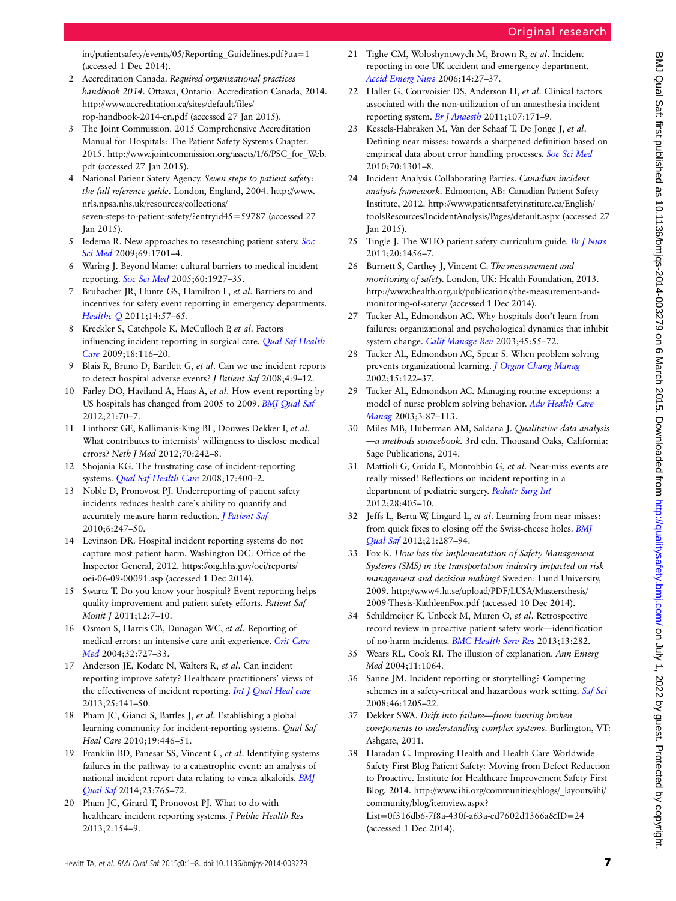<span id="page-6-0"></span>[int/patientsafety/events/05/Reporting\\_Guidelines.pdf?ua=1](http://www.who.int/patientsafety/events/05/Reporting_Guidelines.pdf?ua=1) (accessed 1 Dec 2014).

- 2 Accreditation Canada. Required organizational practices handbook 2014. Ottawa, Ontario: Accreditation Canada, 2014. [http://www.accreditation.ca/sites/default/files/](http://www.accreditation.ca/sites/default/files/rop-handbook-2014-en.pdf) [rop-handbook-2014-en.pdf](http://www.accreditation.ca/sites/default/files/rop-handbook-2014-en.pdf) (accessed 27 Jan 2015).
- 3 The Joint Commission. 2015 Comprehensive Accreditation Manual for Hospitals: The Patient Safety Systems Chapter. 2015. [http://www.jointcommission.org/assets/1/6/PSC\\_for\\_Web.](http://www.jointcommission.org/assets/1/6/PSC_for_Web.pdf) [pdf](http://www.jointcommission.org/assets/1/6/PSC_for_Web.pdf) (accessed 27 Jan 2015).
- 4 National Patient Safety Agency. Seven steps to patient safety: the full reference guide. London, England, 2004. [http://www.](http://www.nrls.npsa.nhs.uk/resources/collections/seven-steps-to-patient-safety/?entryid45=59787) [nrls.npsa.nhs.uk/resources/collections/](http://www.nrls.npsa.nhs.uk/resources/collections/seven-steps-to-patient-safety/?entryid45=59787) [seven-steps-to-patient-safety/?entryid45=59787](http://www.nrls.npsa.nhs.uk/resources/collections/seven-steps-to-patient-safety/?entryid45=59787) (accessed 27 Jan 2015).
- 5 Iedema R. New approaches to researching patient safety. [Soc](http://dx.doi.org/10.1016/j.socscimed.2009.09.050) [Sci Med](http://dx.doi.org/10.1016/j.socscimed.2009.09.050) 2009;69:1701–4.
- 6 Waring J. Beyond blame: cultural barriers to medical incident reporting. [Soc Sci Med](http://dx.doi.org/10.1016/j.socscimed.2004.08.055) 2005;60:1927–35.
- 7 Brubacher JR, Hunte GS, Hamilton L, et al. Barriers to and incentives for safety event reporting in emergency departments. [Healthc Q](http://dx.doi.org/10.12927/hcq.2011.22491) 2011;14:57-65.
- 8 Kreckler S, Catchpole K, McCulloch P, et al. Factors influencing incident reporting in surgical care. [Qual Saf Health](http://dx.doi.org/10.1136/qshc.2008.026534) [Care](http://dx.doi.org/10.1136/qshc.2008.026534) 2009;18:116–20.
- 9 Blais R, Bruno D, Bartlett G, et al. Can we use incident reports to detect hospital adverse events? J Patient Saf 2008;4:9–12.
- 10 Farley DO, Haviland A, Haas A, et al. How event reporting by US hospitals has changed from 2005 to 2009. [BMJ Qual Saf](http://dx.doi.org/10.1136/bmjqs-2011-000114) 2012;21:70–7.
- 11 Linthorst GE, Kallimanis-King BL, Douwes Dekker I, et al. What contributes to internists' willingness to disclose medical errors? Neth J Med 2012;70:242–8.
- 12 Shojania KG. The frustrating case of incident-reporting systems. [Qual Saf Health Care](http://dx.doi.org/10.1136/qshc.2008.029496) 2008;17:400-2.
- 13 Noble D, Pronovost PJ. Underreporting of patient safety incidents reduces health care's ability to quantify and accurately measure harm reduction. *[J Patient Saf](http://dx.doi.org/10.1097/PTS.0b013e3181fd1697)* 2010;6:247–50.
- 14 Levinson DR. Hospital incident reporting systems do not capture most patient harm. Washington DC: Office of the Inspector General, 2012. [https://oig.hhs.gov/oei/reports/](https://oig.hhs.gov/oei/reports/oei-06-09-00091.asp) [oei-06-09-00091.asp](https://oig.hhs.gov/oei/reports/oei-06-09-00091.asp) (accessed 1 Dec 2014).
- 15 Swartz T. Do you know your hospital? Event reporting helps quality improvement and patient safety efforts. Patient Saf Monit J 2011;12:7–10.
- 16 Osmon S, Harris CB, Dunagan WC, et al. Reporting of medical errors: an intensive care unit experience. [Crit Care](http://dx.doi.org/10.1097/01.CCM.0000114822.36890.7C) [Med](http://dx.doi.org/10.1097/01.CCM.0000114822.36890.7C) 2004;32:727–33.
- 17 Anderson JE, Kodate N, Walters R, et al. Can incident reporting improve safety? Healthcare practitioners' views of the effectiveness of incident reporting. [Int J Qual Heal care](http://dx.doi.org/10.1093/intqhc/mzs081) 2013;25:141–50.
- 18 Pham JC, Gianci S, Battles J, et al. Establishing a global learning community for incident-reporting systems. Qual Saf Heal Care 2010;19:446–51.
- 19 Franklin BD, Panesar SS, Vincent C, et al. Identifying systems failures in the pathway to a catastrophic event: an analysis of national incident report data relating to vinca alkaloids. [BMJ](http://dx.doi.org/10.1136/bmjqs-2013-002572) [Qual Saf](http://dx.doi.org/10.1136/bmjqs-2013-002572) 2014;23:765–72.
- 20 Pham JC, Girard T, Pronovost PJ. What to do with healthcare incident reporting systems. J Public Health Res 2013;2:154–9.
- 21 Tighe CM, Woloshynowych M, Brown R, et al. Incident reporting in one UK accident and emergency department. [Accid Emerg Nurs](http://dx.doi.org/10.1016/j.aaen.2005.10.001) 2006;14:27–37.
- 22 Haller G, Courvoisier DS, Anderson H, et al. Clinical factors associated with the non-utilization of an anaesthesia incident reporting system. [Br J Anaesth](http://dx.doi.org/10.1093/bja/aer148) 2011;107:171-9.
- 23 Kessels-Habraken M, Van der Schaaf T, De Jonge J, et al. Defining near misses: towards a sharpened definition based on empirical data about error handling processes. [Soc Sci Med](http://dx.doi.org/10.1016/j.socscimed.2010.01.006) 2010;70:1301–8.
- 24 Incident Analysis Collaborating Parties. Canadian incident analysis framework. Edmonton, AB: Canadian Patient Safety Institute, 2012. [http://www.patientsafetyinstitute.ca/English/](http://www.patientsafetyinstitute.ca/English/toolsResources/IncidentAnalysis/Pages/default.aspx) [toolsResources/IncidentAnalysis/Pages/default.aspx](http://www.patientsafetyinstitute.ca/English/toolsResources/IncidentAnalysis/Pages/default.aspx) (accessed 27 Jan 2015).
- 25 Tingle J. The WHO patient safety curriculum guide. [Br J Nurs](http://dx.doi.org/10.12968/bjon.2011.20.22.1456) 2011;20:1456–7.
- 26 Burnett S, Carthey J, Vincent C. The measurement and monitoring of safety. London, UK: Health Foundation, 2013. [http://www.health.org.uk/publications/the-measurement-and](http://www.health.org.uk/publications/the-measurement-and-monitoring-of-safety/)[monitoring-of-safety/](http://www.health.org.uk/publications/the-measurement-and-monitoring-of-safety/) (accessed 1 Dec 2014).
- 27 Tucker AL, Edmondson AC. Why hospitals don't learn from failures: organizational and psychological dynamics that inhibit system change. [Calif Manage Rev](http://dx.doi.org/10.2307/41166165) 2003;45:55-72.
- 28 Tucker AL, Edmondson AC, Spear S. When problem solving prevents organizational learning. [J Organ Chang Manag](http://dx.doi.org/10.1108/09534810210423008) 2002;15:122–37.
- 29 Tucker AL, Edmondson AC. Managing routine exceptions: a model of nurse problem solving behavior. [Adv Health Care](http://dx.doi.org/10.1016/S1474-8231(02)03007-0) [Manag](http://dx.doi.org/10.1016/S1474-8231(02)03007-0) 2003;3:87–113.
- 30 Miles MB, Huberman AM, Saldana J. Qualitative data analysis —a methods sourcebook. 3rd edn. Thousand Oaks, California: Sage Publications, 2014.
- 31 Mattioli G, Guida E, Montobbio G, et al. Near-miss events are really missed! Reflections on incident reporting in a department of pediatric surgery. [Pediatr Surg Int](http://dx.doi.org/10.1007/s00383-011-3047-5) 2012;28:405–10.
- 32 Jeffs L, Berta W, Lingard L, et al. Learning from near misses: from quick fixes to closing off the Swiss-cheese holes. [BMJ](http://dx.doi.org/10.1136/bmjqs-2011-000256) [Qual Saf](http://dx.doi.org/10.1136/bmjqs-2011-000256) 2012;21:287–94.
- 33 Fox K. How has the implementation of Safety Management Systems (SMS) in the transportation industry impacted on risk management and decision making? Sweden: Lund University, 2009. [http://www4.lu.se/upload/PDF/LUSA/Mastersthesis/](http://www4.lu.se/upload/PDF/LUSA/Mastersthesis/2009-Thesis-KathleenFox.pdf) [2009-Thesis-KathleenFox.pdf](http://www4.lu.se/upload/PDF/LUSA/Mastersthesis/2009-Thesis-KathleenFox.pdf) (accessed 10 Dec 2014).
- 34 Schildmeijer K, Unbeck M, Muren O, et al. Retrospective record review in proactive patient safety work—identification of no-harm incidents. [BMC Health Serv Res](http://dx.doi.org/10.1186/1472-6963-13-282) 2013;13:282.
- 35 Wears RL, Cook RI. The illusion of explanation. Ann Emerg Med 2004;11:1064.
- 36 Sanne JM. Incident reporting or storytelling? Competing schemes in a safety-critical and hazardous work setting. [Saf Sci](http://dx.doi.org/10.1016/j.ssci.2007.06.024) 2008;46:1205–22.
- 37 Dekker SWA. Drift into failure—from hunting broken components to understanding complex systems. Burlington, VT: Ashgate, 2011.
- 38 Haradan C. Improving Health and Health Care Worldwide Safety First Blog Patient Safety: Moving from Defect Reduction to Proactive. Institute for Healthcare Improvement Safety First Blog. 2014. [http://www.ihi.org/communities/blogs/\\_layouts/ihi/](http://www.ihi.org/communities/blogs/_layouts/ihi/community/blog/itemview.aspx?List=0f316db6-7f8a-430f-a63a-ed7602d1366a&ID=24) [community/blog/itemview.aspx?](http://www.ihi.org/communities/blogs/_layouts/ihi/community/blog/itemview.aspx?List=0f316db6-7f8a-430f-a63a-ed7602d1366a&ID=24) [List=0f316db6-7f8a-430f-a63a-ed7602d1366a&ID=24](http://www.ihi.org/communities/blogs/_layouts/ihi/community/blog/itemview.aspx?List=0f316db6-7f8a-430f-a63a-ed7602d1366a&ID=24)

(accessed 1 Dec 2014).